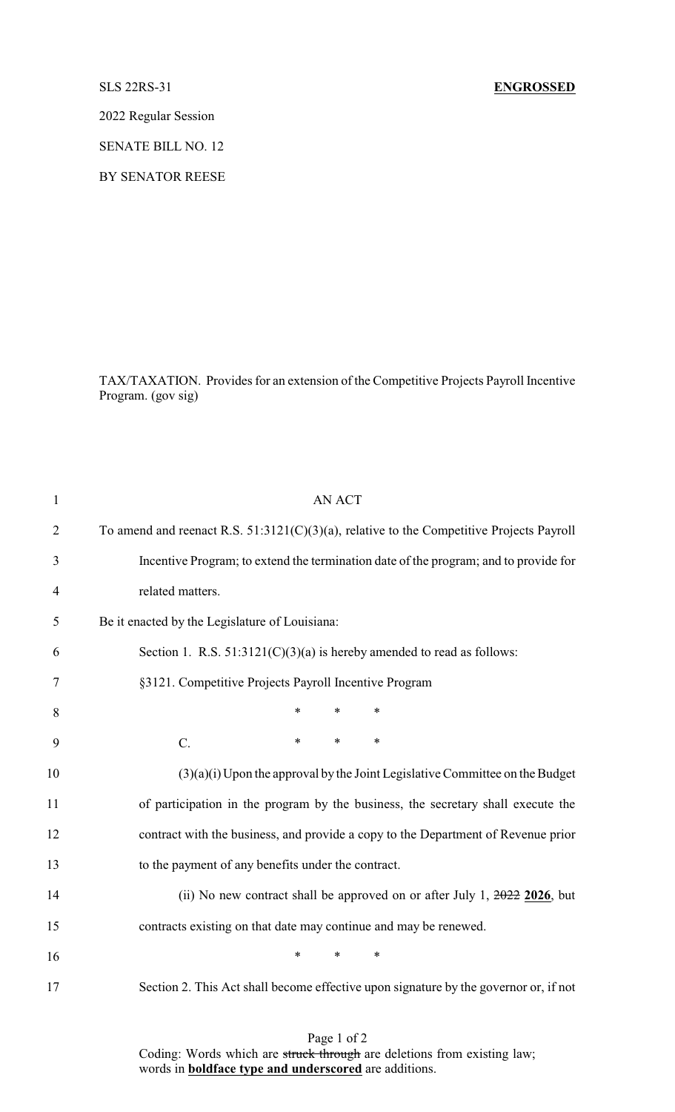2022 Regular Session

SENATE BILL NO. 12

BY SENATOR REESE

TAX/TAXATION. Provides for an extension of the Competitive Projects Payroll Incentive Program. (gov sig)

| $\mathbf{1}$   | <b>AN ACT</b>                                                                               |
|----------------|---------------------------------------------------------------------------------------------|
| $\overline{2}$ | To amend and reenact R.S. $51:3121(C)(3)(a)$ , relative to the Competitive Projects Payroll |
| 3              | Incentive Program; to extend the termination date of the program; and to provide for        |
| $\overline{4}$ | related matters.                                                                            |
| 5              | Be it enacted by the Legislature of Louisiana:                                              |
| 6              | Section 1. R.S. $51:3121(C)(3)(a)$ is hereby amended to read as follows:                    |
| 7              | §3121. Competitive Projects Payroll Incentive Program                                       |
| 8              | $\ast$<br>$\ast$<br>$\ast$                                                                  |
| 9              | $\ast$<br>$\ast$<br>$\ast$<br>$C$ .                                                         |
| 10             | $(3)(a)(i)$ Upon the approval by the Joint Legislative Committee on the Budget              |
| 11             | of participation in the program by the business, the secretary shall execute the            |
| 12             | contract with the business, and provide a copy to the Department of Revenue prior           |
| 13             | to the payment of any benefits under the contract.                                          |
| 14             | (ii) No new contract shall be approved on or after July 1, $2022$ 2026, but                 |
| 15             | contracts existing on that date may continue and may be renewed.                            |
| 16             | $\ast$<br>$\ast$<br>$\ast$                                                                  |
| 17             | Section 2. This Act shall become effective upon signature by the governor or, if not        |
|                |                                                                                             |

Page 1 of 2 Coding: Words which are struck through are deletions from existing law; words in **boldface type and underscored** are additions.